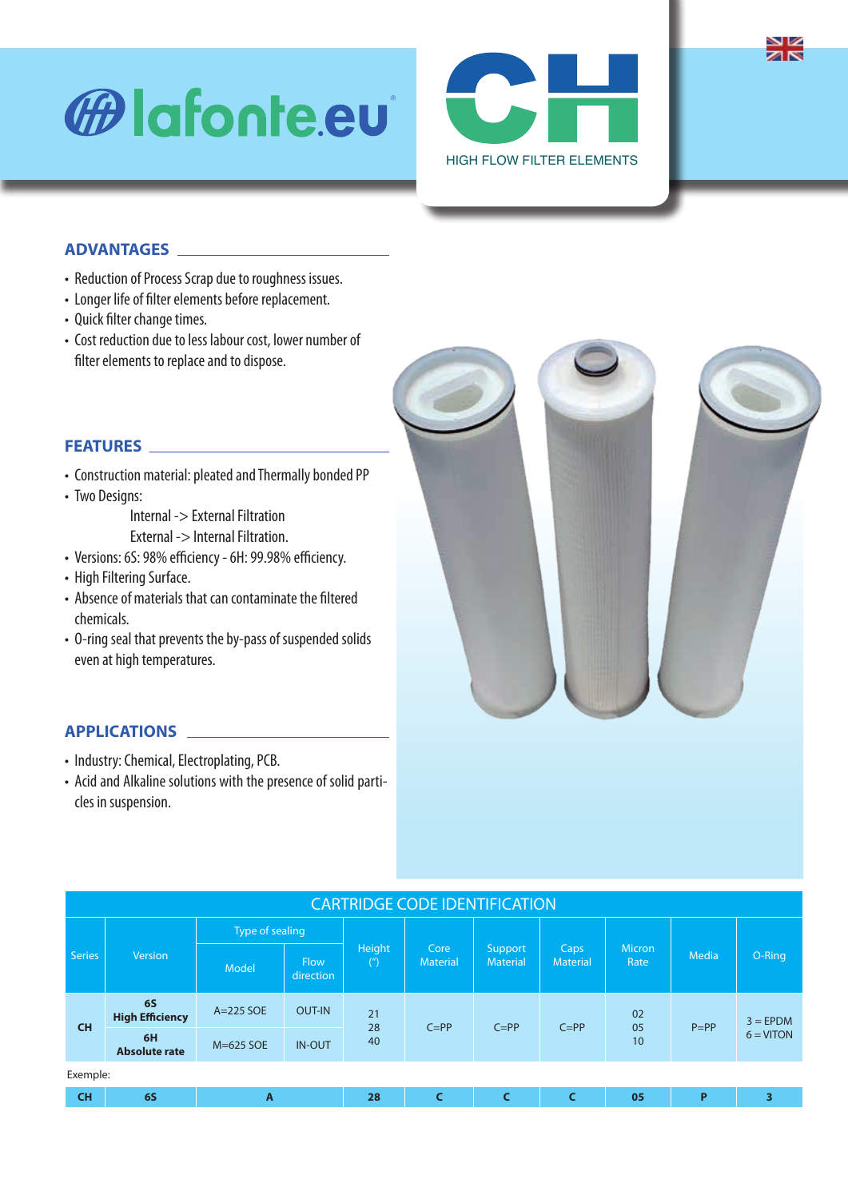# *<sup>ffa***</mark>** lafonte.eu</sup>



## **ADVANTAGES**

- Reduction of Process Scrap due to roughness issues.
- Longer life of filter elements before replacement.
- Quick filter change times.
- Cost reduction due to less labour cost, lower number of filter elements to replace and to dispose.



#### **FEATURES**

- Construction material: pleated and Thermally bonded PP
- Two Designs:

 Internal -> External Filtration External -> Internal Filtration.

- Versions: 6S: 98% efficiency 6H: 99.98% efficiency.
- High Filtering Surface.
- Absence of materials that can contaminate the filtered chemicals.
- O-ring seal that prevents the by-pass of suspended solids even at high temperatures.

### **APPLICATIONS**

- Industry: Chemical, Electroplating, PCB.
- Acid and Alkaline solutions with the presence of solid particles in suspension.

| <b>CARTRIDGE CODE IDENTIFICATION</b> |                                     |                 |                          |                             |                         |                            |                         |                |              |                            |
|--------------------------------------|-------------------------------------|-----------------|--------------------------|-----------------------------|-------------------------|----------------------------|-------------------------|----------------|--------------|----------------------------|
| <b>Series</b>                        | Version                             | Type of sealing |                          |                             |                         |                            |                         |                |              |                            |
|                                      |                                     | Model           | <b>Flow</b><br>direction | Height<br>$^{\prime\prime}$ | Core<br><b>Material</b> | Support<br><b>Material</b> | Caps<br><b>Material</b> | Micron<br>Rate | <b>Media</b> | O-Ring                     |
| <b>CH</b>                            | <b>6S</b><br><b>High Efficiency</b> | $A=225$ SOE     | <b>OUT-IN</b>            | 21<br>28<br>40              | $C = PP$                | $C = PP$                   | $C = PP$                | 02<br>05<br>10 | $P = PP$     | $3 = E PDM$<br>$6 = VITON$ |
|                                      | 6H<br><b>Absolute rate</b>          | M=625 SOE       | <b>IN-OUT</b>            |                             |                         |                            |                         |                |              |                            |
| Exemple:                             |                                     |                 |                          |                             |                         |                            |                         |                |              |                            |
| <b>CH</b>                            | <b>6S</b>                           | A               |                          | 28                          |                         |                            | C                       | 05             | P            | 3                          |